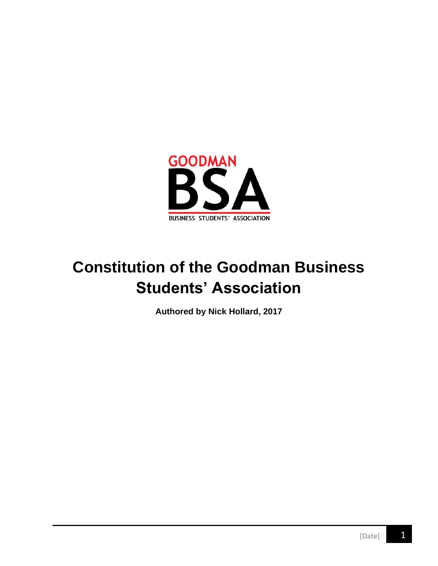

# **Constitution of the Goodman Business Students' Association**

**Authored by Nick Hollard, 2017**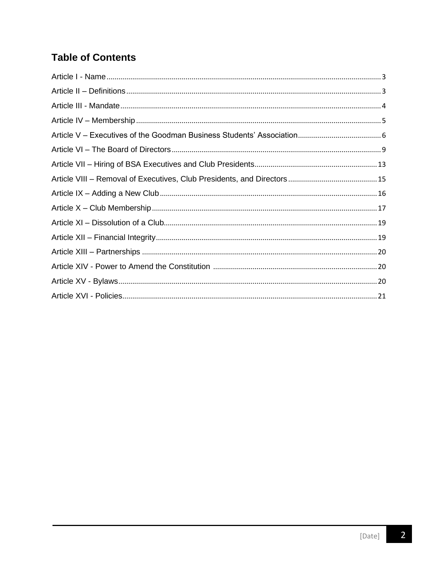# **Table of Contents**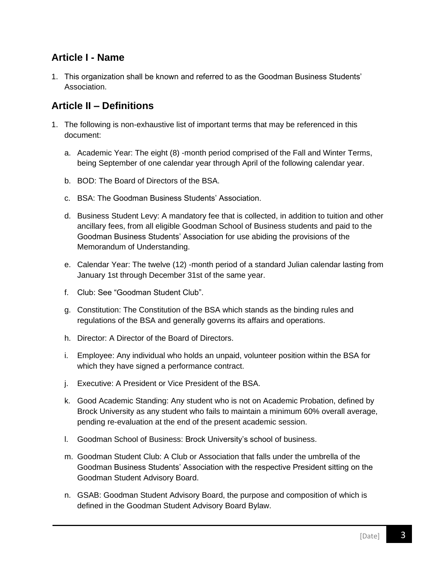### <span id="page-2-0"></span>**Article I - Name**

1. This organization shall be known and referred to as the Goodman Business Students' Association.

### <span id="page-2-1"></span>**Article II – Definitions**

- 1. The following is non-exhaustive list of important terms that may be referenced in this document:
	- a. Academic Year: The eight (8) -month period comprised of the Fall and Winter Terms, being September of one calendar year through April of the following calendar year.
	- b. BOD: The Board of Directors of the BSA.
	- c. BSA: The Goodman Business Students' Association.
	- d. Business Student Levy: A mandatory fee that is collected, in addition to tuition and other ancillary fees, from all eligible Goodman School of Business students and paid to the Goodman Business Students' Association for use abiding the provisions of the Memorandum of Understanding.
	- e. Calendar Year: The twelve (12) -month period of a standard Julian calendar lasting from January 1st through December 31st of the same year.
	- f. Club: See "Goodman Student Club".
	- g. Constitution: The Constitution of the BSA which stands as the binding rules and regulations of the BSA and generally governs its affairs and operations.
	- h. Director: A Director of the Board of Directors.
	- i. Employee: Any individual who holds an unpaid, volunteer position within the BSA for which they have signed a performance contract.
	- j. Executive: A President or Vice President of the BSA.
	- k. Good Academic Standing: Any student who is not on Academic Probation, defined by Brock University as any student who fails to maintain a minimum 60% overall average, pending re-evaluation at the end of the present academic session.
	- l. Goodman School of Business: Brock University's school of business.
	- m. Goodman Student Club: A Club or Association that falls under the umbrella of the Goodman Business Students' Association with the respective President sitting on the Goodman Student Advisory Board.
	- n. GSAB: Goodman Student Advisory Board, the purpose and composition of which is defined in the Goodman Student Advisory Board Bylaw.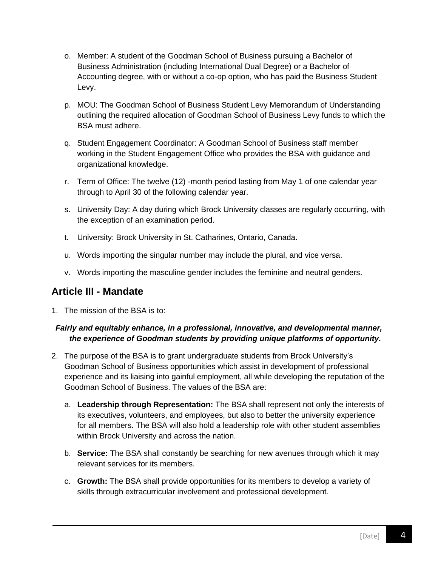- o. Member: A student of the Goodman School of Business pursuing a Bachelor of Business Administration (including International Dual Degree) or a Bachelor of Accounting degree, with or without a co-op option, who has paid the Business Student Levy.
- p. MOU: The Goodman School of Business Student Levy Memorandum of Understanding outlining the required allocation of Goodman School of Business Levy funds to which the BSA must adhere.
- q. Student Engagement Coordinator: A Goodman School of Business staff member working in the Student Engagement Office who provides the BSA with guidance and organizational knowledge.
- r. Term of Office: The twelve (12) -month period lasting from May 1 of one calendar year through to April 30 of the following calendar year.
- s. University Day: A day during which Brock University classes are regularly occurring, with the exception of an examination period.
- t. University: Brock University in St. Catharines, Ontario, Canada.
- u. Words importing the singular number may include the plural, and vice versa.
- v. Words importing the masculine gender includes the feminine and neutral genders.

### <span id="page-3-0"></span>**Article III - Mandate**

1. The mission of the BSA is to:

#### *Fairly and equitably enhance, in a professional, innovative, and developmental manner, the experience of Goodman students by providing unique platforms of opportunity.*

- 2. The purpose of the BSA is to grant undergraduate students from Brock University's Goodman School of Business opportunities which assist in development of professional experience and its liaising into gainful employment, all while developing the reputation of the Goodman School of Business. The values of the BSA are:
	- a. **Leadership through Representation:** The BSA shall represent not only the interests of its executives, volunteers, and employees, but also to better the university experience for all members. The BSA will also hold a leadership role with other student assemblies within Brock University and across the nation.
	- b. **Service:** The BSA shall constantly be searching for new avenues through which it may relevant services for its members.
	- c. **Growth:** The BSA shall provide opportunities for its members to develop a variety of skills through extracurricular involvement and professional development.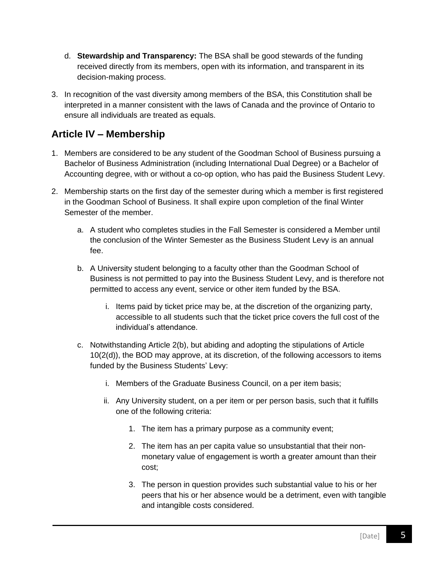- d. **Stewardship and Transparency:** The BSA shall be good stewards of the funding received directly from its members, open with its information, and transparent in its decision-making process.
- 3. In recognition of the vast diversity among members of the BSA, this Constitution shall be interpreted in a manner consistent with the laws of Canada and the province of Ontario to ensure all individuals are treated as equals.

### <span id="page-4-0"></span>**Article IV – Membership**

- 1. Members are considered to be any student of the Goodman School of Business pursuing a Bachelor of Business Administration (including International Dual Degree) or a Bachelor of Accounting degree, with or without a co-op option, who has paid the Business Student Levy.
- 2. Membership starts on the first day of the semester during which a member is first registered in the Goodman School of Business. It shall expire upon completion of the final Winter Semester of the member.
	- a. A student who completes studies in the Fall Semester is considered a Member until the conclusion of the Winter Semester as the Business Student Levy is an annual fee.
	- b. A University student belonging to a faculty other than the Goodman School of Business is not permitted to pay into the Business Student Levy, and is therefore not permitted to access any event, service or other item funded by the BSA.
		- i. Items paid by ticket price may be, at the discretion of the organizing party, accessible to all students such that the ticket price covers the full cost of the individual's attendance.
	- c. Notwithstanding Article 2(b), but abiding and adopting the stipulations of Article 10(2(d)), the BOD may approve, at its discretion, of the following accessors to items funded by the Business Students' Levy:
		- i. Members of the Graduate Business Council, on a per item basis;
		- ii. Any University student, on a per item or per person basis, such that it fulfills one of the following criteria:
			- 1. The item has a primary purpose as a community event;
			- 2. The item has an per capita value so unsubstantial that their nonmonetary value of engagement is worth a greater amount than their cost;
			- 3. The person in question provides such substantial value to his or her peers that his or her absence would be a detriment, even with tangible and intangible costs considered.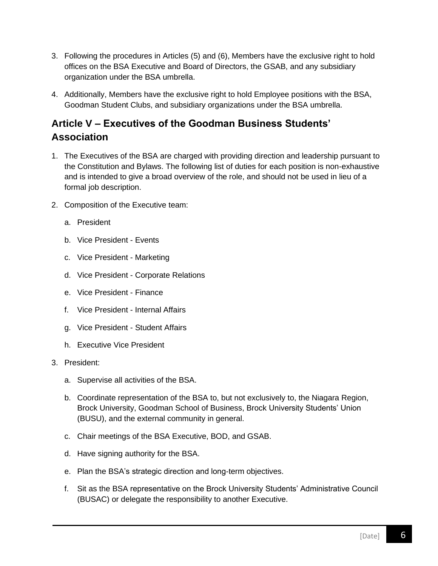- 3. Following the procedures in Articles (5) and (6), Members have the exclusive right to hold offices on the BSA Executive and Board of Directors, the GSAB, and any subsidiary organization under the BSA umbrella.
- 4. Additionally, Members have the exclusive right to hold Employee positions with the BSA, Goodman Student Clubs, and subsidiary organizations under the BSA umbrella.

## <span id="page-5-0"></span>**Article V – Executives of the Goodman Business Students' Association**

- 1. The Executives of the BSA are charged with providing direction and leadership pursuant to the Constitution and Bylaws. The following list of duties for each position is non-exhaustive and is intended to give a broad overview of the role, and should not be used in lieu of a formal job description.
- 2. Composition of the Executive team:
	- a. President
	- b. Vice President Events
	- c. Vice President Marketing
	- d. Vice President Corporate Relations
	- e. Vice President Finance
	- f. Vice President Internal Affairs
	- g. Vice President Student Affairs
	- h. Executive Vice President
- 3. President:
	- a. Supervise all activities of the BSA.
	- b. Coordinate representation of the BSA to, but not exclusively to, the Niagara Region, Brock University, Goodman School of Business, Brock University Students' Union (BUSU), and the external community in general.
	- c. Chair meetings of the BSA Executive, BOD, and GSAB.
	- d. Have signing authority for the BSA.
	- e. Plan the BSA's strategic direction and long-term objectives.
	- f. Sit as the BSA representative on the Brock University Students' Administrative Council (BUSAC) or delegate the responsibility to another Executive.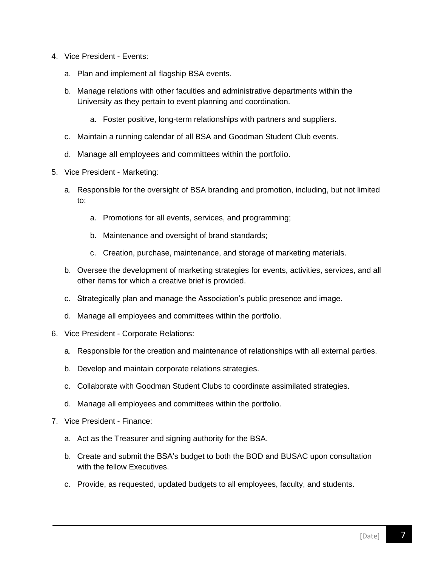- 4. Vice President Events:
	- a. Plan and implement all flagship BSA events.
	- b. Manage relations with other faculties and administrative departments within the University as they pertain to event planning and coordination.
		- a. Foster positive, long-term relationships with partners and suppliers.
	- c. Maintain a running calendar of all BSA and Goodman Student Club events.
	- d. Manage all employees and committees within the portfolio.
- 5. Vice President Marketing:
	- a. Responsible for the oversight of BSA branding and promotion, including, but not limited to:
		- a. Promotions for all events, services, and programming;
		- b. Maintenance and oversight of brand standards;
		- c. Creation, purchase, maintenance, and storage of marketing materials.
	- b. Oversee the development of marketing strategies for events, activities, services, and all other items for which a creative brief is provided.
	- c. Strategically plan and manage the Association's public presence and image.
	- d. Manage all employees and committees within the portfolio.
- 6. Vice President Corporate Relations:
	- a. Responsible for the creation and maintenance of relationships with all external parties.
	- b. Develop and maintain corporate relations strategies.
	- c. Collaborate with Goodman Student Clubs to coordinate assimilated strategies.
	- d. Manage all employees and committees within the portfolio.
- 7. Vice President Finance:
	- a. Act as the Treasurer and signing authority for the BSA.
	- b. Create and submit the BSA's budget to both the BOD and BUSAC upon consultation with the fellow Executives.
	- c. Provide, as requested, updated budgets to all employees, faculty, and students.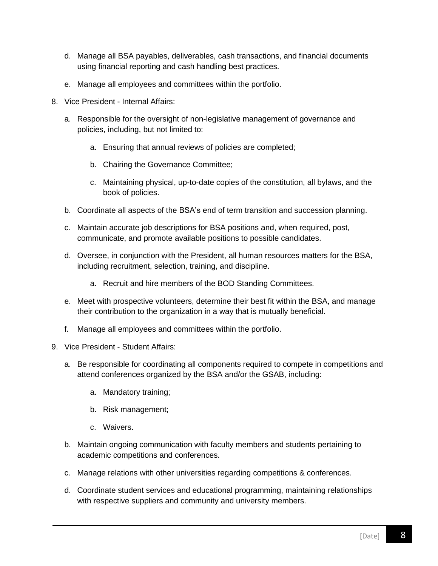- d. Manage all BSA payables, deliverables, cash transactions, and financial documents using financial reporting and cash handling best practices.
- e. Manage all employees and committees within the portfolio.
- 8. Vice President Internal Affairs:
	- a. Responsible for the oversight of non-legislative management of governance and policies, including, but not limited to:
		- a. Ensuring that annual reviews of policies are completed;
		- b. Chairing the Governance Committee;
		- c. Maintaining physical, up-to-date copies of the constitution, all bylaws, and the book of policies.
	- b. Coordinate all aspects of the BSA's end of term transition and succession planning.
	- c. Maintain accurate job descriptions for BSA positions and, when required, post, communicate, and promote available positions to possible candidates.
	- d. Oversee, in conjunction with the President, all human resources matters for the BSA, including recruitment, selection, training, and discipline.
		- a. Recruit and hire members of the BOD Standing Committees.
	- e. Meet with prospective volunteers, determine their best fit within the BSA, and manage their contribution to the organization in a way that is mutually beneficial.
	- f. Manage all employees and committees within the portfolio.
- 9. Vice President Student Affairs:
	- a. Be responsible for coordinating all components required to compete in competitions and attend conferences organized by the BSA and/or the GSAB, including:
		- a. Mandatory training;
		- b. Risk management;
		- c. Waivers.
	- b. Maintain ongoing communication with faculty members and students pertaining to academic competitions and conferences.
	- c. Manage relations with other universities regarding competitions & conferences.
	- d. Coordinate student services and educational programming, maintaining relationships with respective suppliers and community and university members.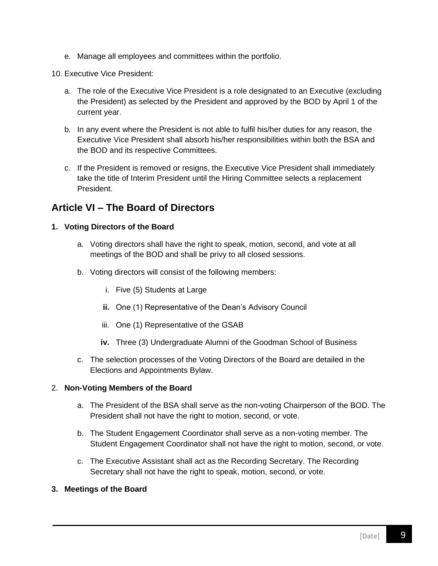e. Manage all employees and committees within the portfolio.

10. Executive Vice President:

- a. The role of the Executive Vice President is a role designated to an Executive (excluding the President) as selected by the President and approved by the BOD by April 1 of the current year.
- b. In any event where the President is not able to fulfil his/her duties for any reason, the Executive Vice President shall absorb his/her responsibilities within both the BSA and the BOD and its respective Committees.
- c. If the President is removed or resigns, the Executive Vice President shall immediately take the title of Interim President until the Hiring Committee selects a replacement President.

### <span id="page-8-0"></span>**Article VI – The Board of Directors**

#### **1. Voting Directors of the Board**

- a. Voting directors shall have the right to speak, motion, second, and vote at all meetings of the BOD and shall be privy to all closed sessions.
- b. Voting directors will consist of the following members:
	- i. Five (5) Students at Large
	- **ii.** One (1) Representative of the Dean's Advisory Council
	- iii. One (1) Representative of the GSAB
	- **iv.** Three (3) Undergraduate Alumni of the Goodman School of Business
- c. The selection processes of the Voting Directors of the Board are detailed in the Elections and Appointments Bylaw.

#### 2. **Non-Voting Members of the Board**

- a. The President of the BSA shall serve as the non-voting Chairperson of the BOD. The President shall not have the right to motion, second, or vote.
- b. The Student Engagement Coordinator shall serve as a non-voting member. The Student Engagement Coordinator shall not have the right to motion, second, or vote.
- c. The Executive Assistant shall act as the Recording Secretary. The Recording Secretary shall not have the right to speak, motion, second, or vote.

#### **3. Meetings of the Board**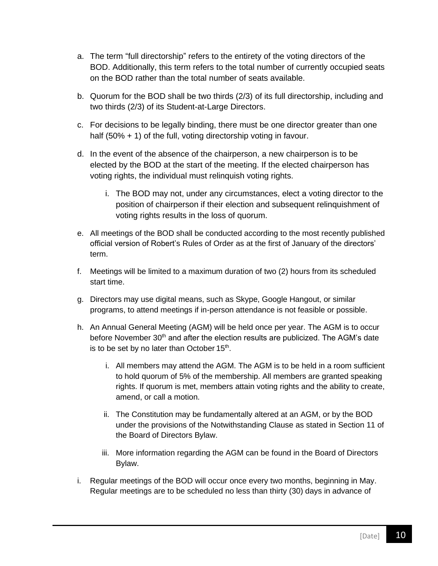- a. The term "full directorship" refers to the entirety of the voting directors of the BOD. Additionally, this term refers to the total number of currently occupied seats on the BOD rather than the total number of seats available.
- b. Quorum for the BOD shall be two thirds (2/3) of its full directorship, including and two thirds (2/3) of its Student-at-Large Directors.
- c. For decisions to be legally binding, there must be one director greater than one half (50% + 1) of the full, voting directorship voting in favour.
- d. In the event of the absence of the chairperson, a new chairperson is to be elected by the BOD at the start of the meeting. If the elected chairperson has voting rights, the individual must relinquish voting rights.
	- i. The BOD may not, under any circumstances, elect a voting director to the position of chairperson if their election and subsequent relinquishment of voting rights results in the loss of quorum.
- e. All meetings of the BOD shall be conducted according to the most recently published official version of Robert's Rules of Order as at the first of January of the directors' term.
- f. Meetings will be limited to a maximum duration of two (2) hours from its scheduled start time.
- g. Directors may use digital means, such as Skype, Google Hangout, or similar programs, to attend meetings if in-person attendance is not feasible or possible.
- h. An Annual General Meeting (AGM) will be held once per year. The AGM is to occur before November 30<sup>th</sup> and after the election results are publicized. The AGM's date is to be set by no later than October  $15<sup>th</sup>$ .
	- i. All members may attend the AGM. The AGM is to be held in a room sufficient to hold quorum of 5% of the membership. All members are granted speaking rights. If quorum is met, members attain voting rights and the ability to create, amend, or call a motion.
	- ii. The Constitution may be fundamentally altered at an AGM, or by the BOD under the provisions of the Notwithstanding Clause as stated in Section 11 of the Board of Directors Bylaw.
	- iii. More information regarding the AGM can be found in the Board of Directors Bylaw.
- i. Regular meetings of the BOD will occur once every two months, beginning in May. Regular meetings are to be scheduled no less than thirty (30) days in advance of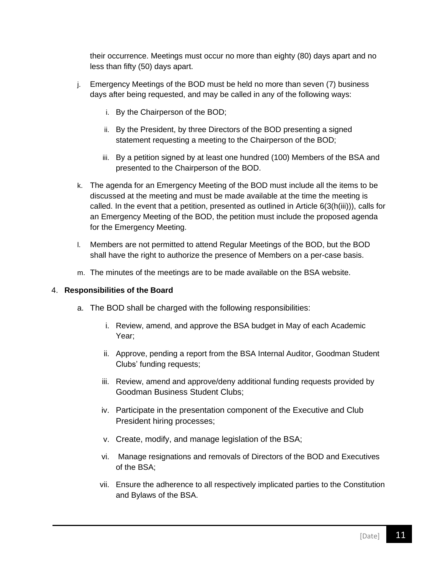their occurrence. Meetings must occur no more than eighty (80) days apart and no less than fifty (50) days apart.

- j. Emergency Meetings of the BOD must be held no more than seven (7) business days after being requested, and may be called in any of the following ways:
	- i. By the Chairperson of the BOD;
	- ii. By the President, by three Directors of the BOD presenting a signed statement requesting a meeting to the Chairperson of the BOD;
	- iii. By a petition signed by at least one hundred (100) Members of the BSA and presented to the Chairperson of the BOD.
- k. The agenda for an Emergency Meeting of the BOD must include all the items to be discussed at the meeting and must be made available at the time the meeting is called. In the event that a petition, presented as outlined in Article 6(3(h(iii))), calls for an Emergency Meeting of the BOD, the petition must include the proposed agenda for the Emergency Meeting.
- l. Members are not permitted to attend Regular Meetings of the BOD, but the BOD shall have the right to authorize the presence of Members on a per-case basis.
- m. The minutes of the meetings are to be made available on the BSA website.

#### 4. **Responsibilities of the Board**

- a. The BOD shall be charged with the following responsibilities:
	- i. Review, amend, and approve the BSA budget in May of each Academic Year;
	- ii. Approve, pending a report from the BSA Internal Auditor, Goodman Student Clubs' funding requests;
	- iii. Review, amend and approve/deny additional funding requests provided by Goodman Business Student Clubs;
	- iv. Participate in the presentation component of the Executive and Club President hiring processes;
	- v. Create, modify, and manage legislation of the BSA;
	- vi. Manage resignations and removals of Directors of the BOD and Executives of the BSA;
	- vii. Ensure the adherence to all respectively implicated parties to the Constitution and Bylaws of the BSA.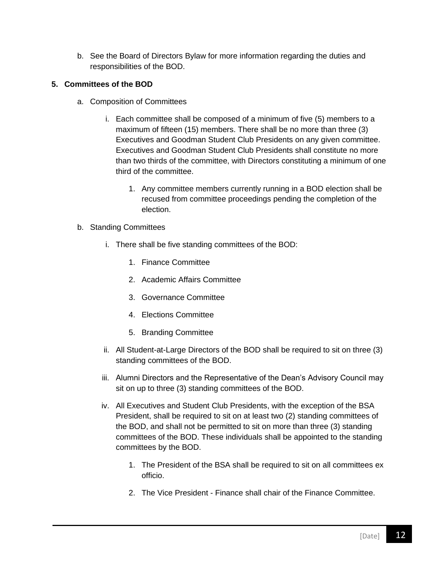b. See the Board of Directors Bylaw for more information regarding the duties and responsibilities of the BOD.

#### **5. Committees of the BOD**

- a. Composition of Committees
	- i. Each committee shall be composed of a minimum of five (5) members to a maximum of fifteen (15) members. There shall be no more than three (3) Executives and Goodman Student Club Presidents on any given committee. Executives and Goodman Student Club Presidents shall constitute no more than two thirds of the committee, with Directors constituting a minimum of one third of the committee.
		- 1. Any committee members currently running in a BOD election shall be recused from committee proceedings pending the completion of the election.
- b. Standing Committees
	- i. There shall be five standing committees of the BOD:
		- 1. Finance Committee
		- 2. Academic Affairs Committee
		- 3. Governance Committee
		- 4. Elections Committee
		- 5. Branding Committee
	- ii. All Student-at-Large Directors of the BOD shall be required to sit on three (3) standing committees of the BOD.
	- iii. Alumni Directors and the Representative of the Dean's Advisory Council may sit on up to three (3) standing committees of the BOD.
	- iv. All Executives and Student Club Presidents, with the exception of the BSA President, shall be required to sit on at least two (2) standing committees of the BOD, and shall not be permitted to sit on more than three (3) standing committees of the BOD. These individuals shall be appointed to the standing committees by the BOD.
		- 1. The President of the BSA shall be required to sit on all committees ex officio.
		- 2. The Vice President Finance shall chair of the Finance Committee.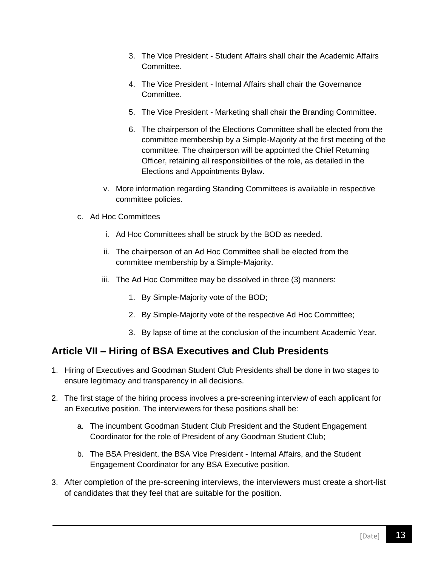- 3. The Vice President Student Affairs shall chair the Academic Affairs Committee.
- 4. The Vice President Internal Affairs shall chair the Governance Committee.
- 5. The Vice President Marketing shall chair the Branding Committee.
- 6. The chairperson of the Elections Committee shall be elected from the committee membership by a Simple-Majority at the first meeting of the committee. The chairperson will be appointed the Chief Returning Officer, retaining all responsibilities of the role, as detailed in the Elections and Appointments Bylaw.
- v. More information regarding Standing Committees is available in respective committee policies.
- c. Ad Hoc Committees
	- i. Ad Hoc Committees shall be struck by the BOD as needed.
	- ii. The chairperson of an Ad Hoc Committee shall be elected from the committee membership by a Simple-Majority.
	- iii. The Ad Hoc Committee may be dissolved in three (3) manners:
		- 1. By Simple-Majority vote of the BOD;
		- 2. By Simple-Majority vote of the respective Ad Hoc Committee;
		- 3. By lapse of time at the conclusion of the incumbent Academic Year.

### <span id="page-12-0"></span>**Article VII – Hiring of BSA Executives and Club Presidents**

- 1. Hiring of Executives and Goodman Student Club Presidents shall be done in two stages to ensure legitimacy and transparency in all decisions.
- 2. The first stage of the hiring process involves a pre-screening interview of each applicant for an Executive position. The interviewers for these positions shall be:
	- a. The incumbent Goodman Student Club President and the Student Engagement Coordinator for the role of President of any Goodman Student Club;
	- b. The BSA President, the BSA Vice President Internal Affairs, and the Student Engagement Coordinator for any BSA Executive position.
- 3. After completion of the pre-screening interviews, the interviewers must create a short-list of candidates that they feel that are suitable for the position.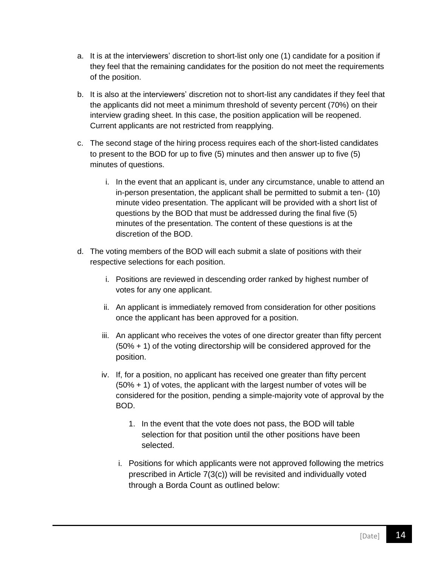- a. It is at the interviewers' discretion to short-list only one (1) candidate for a position if they feel that the remaining candidates for the position do not meet the requirements of the position.
- b. It is also at the interviewers' discretion not to short-list any candidates if they feel that the applicants did not meet a minimum threshold of seventy percent (70%) on their interview grading sheet. In this case, the position application will be reopened. Current applicants are not restricted from reapplying.
- c. The second stage of the hiring process requires each of the short-listed candidates to present to the BOD for up to five (5) minutes and then answer up to five (5) minutes of questions.
	- i. In the event that an applicant is, under any circumstance, unable to attend an in-person presentation, the applicant shall be permitted to submit a ten- (10) minute video presentation. The applicant will be provided with a short list of questions by the BOD that must be addressed during the final five (5) minutes of the presentation. The content of these questions is at the discretion of the BOD.
- d. The voting members of the BOD will each submit a slate of positions with their respective selections for each position.
	- i. Positions are reviewed in descending order ranked by highest number of votes for any one applicant.
	- ii. An applicant is immediately removed from consideration for other positions once the applicant has been approved for a position.
	- iii. An applicant who receives the votes of one director greater than fifty percent  $(50\% + 1)$  of the voting directorship will be considered approved for the position.
	- iv. If, for a position, no applicant has received one greater than fifty percent (50% + 1) of votes, the applicant with the largest number of votes will be considered for the position, pending a simple-majority vote of approval by the BOD.
		- 1. In the event that the vote does not pass, the BOD will table selection for that position until the other positions have been selected.
		- i. Positions for which applicants were not approved following the metrics prescribed in Article 7(3(c)) will be revisited and individually voted through a Borda Count as outlined below: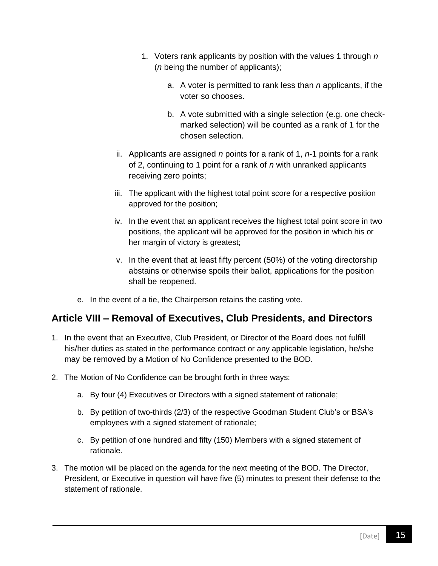- 1. Voters rank applicants by position with the values 1 through *n* (*n* being the number of applicants);
	- a. A voter is permitted to rank less than *n* applicants, if the voter so chooses.
	- b. A vote submitted with a single selection (e.g. one checkmarked selection) will be counted as a rank of 1 for the chosen selection.
- ii. Applicants are assigned *n* points for a rank of 1, *n*-1 points for a rank of 2, continuing to 1 point for a rank of *n* with unranked applicants receiving zero points;
- iii. The applicant with the highest total point score for a respective position approved for the position;
- iv. In the event that an applicant receives the highest total point score in two positions, the applicant will be approved for the position in which his or her margin of victory is greatest;
- v. In the event that at least fifty percent (50%) of the voting directorship abstains or otherwise spoils their ballot, applications for the position shall be reopened.
- e. In the event of a tie, the Chairperson retains the casting vote.

### <span id="page-14-0"></span>**Article VIII – Removal of Executives, Club Presidents, and Directors**

- 1. In the event that an Executive, Club President, or Director of the Board does not fulfill his/her duties as stated in the performance contract or any applicable legislation, he/she may be removed by a Motion of No Confidence presented to the BOD.
- 2. The Motion of No Confidence can be brought forth in three ways:
	- a. By four (4) Executives or Directors with a signed statement of rationale;
	- b. By petition of two-thirds (2/3) of the respective Goodman Student Club's or BSA's employees with a signed statement of rationale;
	- c. By petition of one hundred and fifty (150) Members with a signed statement of rationale.
- 3. The motion will be placed on the agenda for the next meeting of the BOD. The Director, President, or Executive in question will have five (5) minutes to present their defense to the statement of rationale.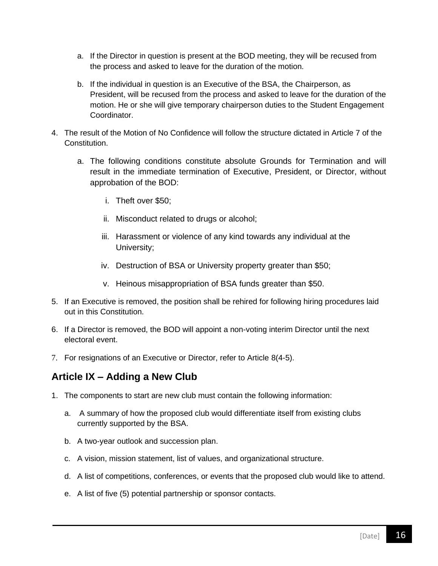- a. If the Director in question is present at the BOD meeting, they will be recused from the process and asked to leave for the duration of the motion.
- b. If the individual in question is an Executive of the BSA, the Chairperson, as President, will be recused from the process and asked to leave for the duration of the motion. He or she will give temporary chairperson duties to the Student Engagement Coordinator.
- 4. The result of the Motion of No Confidence will follow the structure dictated in Article 7 of the Constitution.
	- a. The following conditions constitute absolute Grounds for Termination and will result in the immediate termination of Executive, President, or Director, without approbation of the BOD:
		- i. Theft over \$50;
		- ii. Misconduct related to drugs or alcohol;
		- iii. Harassment or violence of any kind towards any individual at the University;
		- iv. Destruction of BSA or University property greater than \$50;
		- v. Heinous misappropriation of BSA funds greater than \$50.
- 5. If an Executive is removed, the position shall be rehired for following hiring procedures laid out in this Constitution.
- 6. If a Director is removed, the BOD will appoint a non-voting interim Director until the next electoral event.
- 7. For resignations of an Executive or Director, refer to Article 8(4-5).

### <span id="page-15-0"></span>**Article IX – Adding a New Club**

- 1. The components to start are new club must contain the following information:
	- a. A summary of how the proposed club would differentiate itself from existing clubs currently supported by the BSA.
	- b. A two-year outlook and succession plan.
	- c. A vision, mission statement, list of values, and organizational structure.
	- d. A list of competitions, conferences, or events that the proposed club would like to attend.
	- e. A list of five (5) potential partnership or sponsor contacts.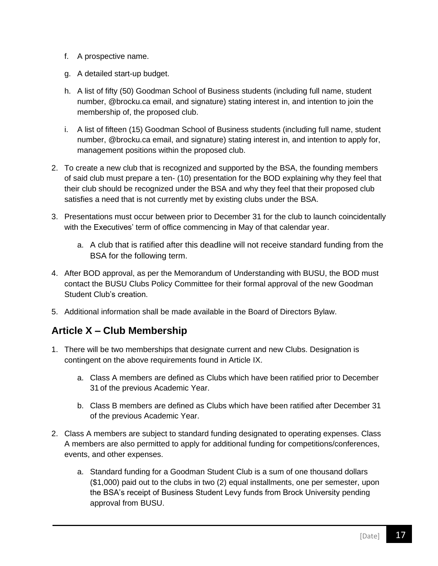- f. A prospective name.
- g. A detailed start-up budget.
- h. A list of fifty (50) Goodman School of Business students (including full name, student number, @brocku.ca email, and signature) stating interest in, and intention to join the membership of, the proposed club.
- i. A list of fifteen (15) Goodman School of Business students (including full name, student number, @brocku.ca email, and signature) stating interest in, and intention to apply for, management positions within the proposed club.
- 2. To create a new club that is recognized and supported by the BSA, the founding members of said club must prepare a ten- (10) presentation for the BOD explaining why they feel that their club should be recognized under the BSA and why they feel that their proposed club satisfies a need that is not currently met by existing clubs under the BSA.
- 3. Presentations must occur between prior to December 31 for the club to launch coincidentally with the Executives' term of office commencing in May of that calendar year.
	- a. A club that is ratified after this deadline will not receive standard funding from the BSA for the following term.
- 4. After BOD approval, as per the Memorandum of Understanding with BUSU, the BOD must contact the BUSU Clubs Policy Committee for their formal approval of the new Goodman Student Club's creation.
- 5. Additional information shall be made available in the Board of Directors Bylaw.

### <span id="page-16-0"></span>**Article X – Club Membership**

- 1. There will be two memberships that designate current and new Clubs. Designation is contingent on the above requirements found in Article IX.
	- a. Class A members are defined as Clubs which have been ratified prior to December 31 of the previous Academic Year.
	- b. Class B members are defined as Clubs which have been ratified after December 31 of the previous Academic Year.
- 2. Class A members are subject to standard funding designated to operating expenses. Class A members are also permitted to apply for additional funding for competitions/conferences, events, and other expenses.
	- a. Standard funding for a Goodman Student Club is a sum of one thousand dollars (\$1,000) paid out to the clubs in two (2) equal installments, one per semester, upon the BSA's receipt of Business Student Levy funds from Brock University pending approval from BUSU.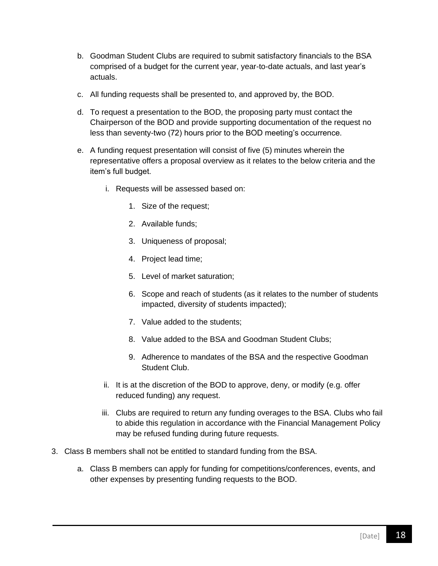- b. Goodman Student Clubs are required to submit satisfactory financials to the BSA comprised of a budget for the current year, year-to-date actuals, and last year's actuals.
- c. All funding requests shall be presented to, and approved by, the BOD.
- d. To request a presentation to the BOD, the proposing party must contact the Chairperson of the BOD and provide supporting documentation of the request no less than seventy-two (72) hours prior to the BOD meeting's occurrence.
- e. A funding request presentation will consist of five (5) minutes wherein the representative offers a proposal overview as it relates to the below criteria and the item's full budget.
	- i. Requests will be assessed based on:
		- 1. Size of the request;
		- 2. Available funds;
		- 3. Uniqueness of proposal;
		- 4. Project lead time;
		- 5. Level of market saturation;
		- 6. Scope and reach of students (as it relates to the number of students impacted, diversity of students impacted);
		- 7. Value added to the students;
		- 8. Value added to the BSA and Goodman Student Clubs;
		- 9. Adherence to mandates of the BSA and the respective Goodman Student Club.
	- ii. It is at the discretion of the BOD to approve, deny, or modify (e.g. offer reduced funding) any request.
	- iii. Clubs are required to return any funding overages to the BSA. Clubs who fail to abide this regulation in accordance with the Financial Management Policy may be refused funding during future requests.
- 3. Class B members shall not be entitled to standard funding from the BSA.
	- a. Class B members can apply for funding for competitions/conferences, events, and other expenses by presenting funding requests to the BOD.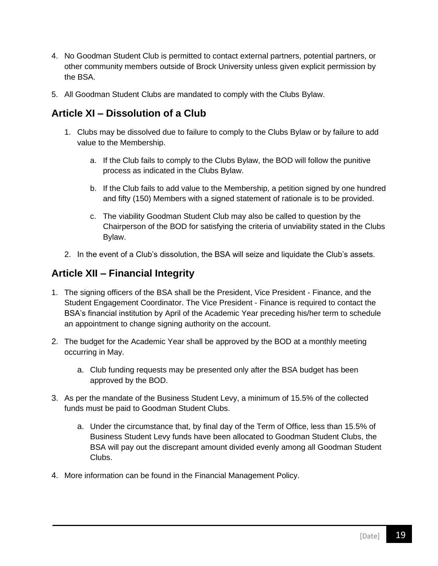- 4. No Goodman Student Club is permitted to contact external partners, potential partners, or other community members outside of Brock University unless given explicit permission by the BSA.
- 5. All Goodman Student Clubs are mandated to comply with the Clubs Bylaw.

### <span id="page-18-0"></span>**Article XI – Dissolution of a Club**

- 1. Clubs may be dissolved due to failure to comply to the Clubs Bylaw or by failure to add value to the Membership.
	- a. If the Club fails to comply to the Clubs Bylaw, the BOD will follow the punitive process as indicated in the Clubs Bylaw.
	- b. If the Club fails to add value to the Membership, a petition signed by one hundred and fifty (150) Members with a signed statement of rationale is to be provided.
	- c. The viability Goodman Student Club may also be called to question by the Chairperson of the BOD for satisfying the criteria of unviability stated in the Clubs Bylaw.
- 2. In the event of a Club's dissolution, the BSA will seize and liquidate the Club's assets.

### <span id="page-18-1"></span>**Article XII – Financial Integrity**

- 1. The signing officers of the BSA shall be the President, Vice President Finance, and the Student Engagement Coordinator. The Vice President - Finance is required to contact the BSA's financial institution by April of the Academic Year preceding his/her term to schedule an appointment to change signing authority on the account.
- 2. The budget for the Academic Year shall be approved by the BOD at a monthly meeting occurring in May.
	- a. Club funding requests may be presented only after the BSA budget has been approved by the BOD.
- 3. As per the mandate of the Business Student Levy, a minimum of 15.5% of the collected funds must be paid to Goodman Student Clubs.
	- a. Under the circumstance that, by final day of the Term of Office, less than 15.5% of Business Student Levy funds have been allocated to Goodman Student Clubs, the BSA will pay out the discrepant amount divided evenly among all Goodman Student Clubs.
- 4. More information can be found in the Financial Management Policy.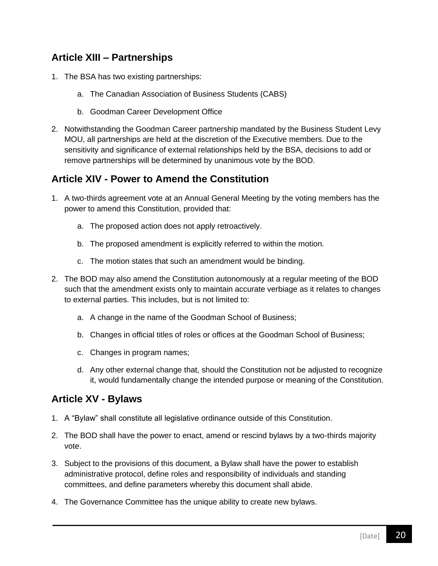### <span id="page-19-0"></span>**Article XIII – Partnerships**

- 1. The BSA has two existing partnerships:
	- a. The Canadian Association of Business Students (CABS)
	- b. Goodman Career Development Office
- 2. Notwithstanding the Goodman Career partnership mandated by the Business Student Levy MOU, all partnerships are held at the discretion of the Executive members. Due to the sensitivity and significance of external relationships held by the BSA, decisions to add or remove partnerships will be determined by unanimous vote by the BOD.

### <span id="page-19-1"></span>**Article XIV - Power to Amend the Constitution**

- 1. A two-thirds agreement vote at an Annual General Meeting by the voting members has the power to amend this Constitution, provided that:
	- a. The proposed action does not apply retroactively.
	- b. The proposed amendment is explicitly referred to within the motion.
	- c. The motion states that such an amendment would be binding.
- 2. The BOD may also amend the Constitution autonomously at a regular meeting of the BOD such that the amendment exists only to maintain accurate verbiage as it relates to changes to external parties. This includes, but is not limited to:
	- a. A change in the name of the Goodman School of Business;
	- b. Changes in official titles of roles or offices at the Goodman School of Business;
	- c. Changes in program names;
	- d. Any other external change that, should the Constitution not be adjusted to recognize it, would fundamentally change the intended purpose or meaning of the Constitution.

### <span id="page-19-2"></span>**Article XV - Bylaws**

- 1. A "Bylaw" shall constitute all legislative ordinance outside of this Constitution.
- 2. The BOD shall have the power to enact, amend or rescind bylaws by a two-thirds majority vote.
- 3. Subject to the provisions of this document, a Bylaw shall have the power to establish administrative protocol, define roles and responsibility of individuals and standing committees, and define parameters whereby this document shall abide.
- 4. The Governance Committee has the unique ability to create new bylaws.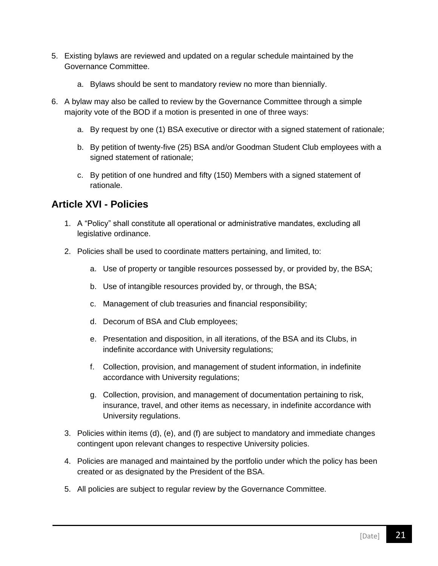- 5. Existing bylaws are reviewed and updated on a regular schedule maintained by the Governance Committee.
	- a. Bylaws should be sent to mandatory review no more than biennially.
- 6. A bylaw may also be called to review by the Governance Committee through a simple majority vote of the BOD if a motion is presented in one of three ways:
	- a. By request by one (1) BSA executive or director with a signed statement of rationale;
	- b. By petition of twenty-five (25) BSA and/or Goodman Student Club employees with a signed statement of rationale;
	- c. By petition of one hundred and fifty (150) Members with a signed statement of rationale.

### <span id="page-20-0"></span>**Article XVI - Policies**

- 1. A "Policy" shall constitute all operational or administrative mandates, excluding all legislative ordinance.
- 2. Policies shall be used to coordinate matters pertaining, and limited, to:
	- a. Use of property or tangible resources possessed by, or provided by, the BSA;
	- b. Use of intangible resources provided by, or through, the BSA;
	- c. Management of club treasuries and financial responsibility;
	- d. Decorum of BSA and Club employees;
	- e. Presentation and disposition, in all iterations, of the BSA and its Clubs, in indefinite accordance with University regulations;
	- f. Collection, provision, and management of student information, in indefinite accordance with University regulations;
	- g. Collection, provision, and management of documentation pertaining to risk, insurance, travel, and other items as necessary, in indefinite accordance with University regulations.
- 3. Policies within items (d), (e), and (f) are subject to mandatory and immediate changes contingent upon relevant changes to respective University policies.
- 4. Policies are managed and maintained by the portfolio under which the policy has been created or as designated by the President of the BSA.
- 5. All policies are subject to regular review by the Governance Committee.